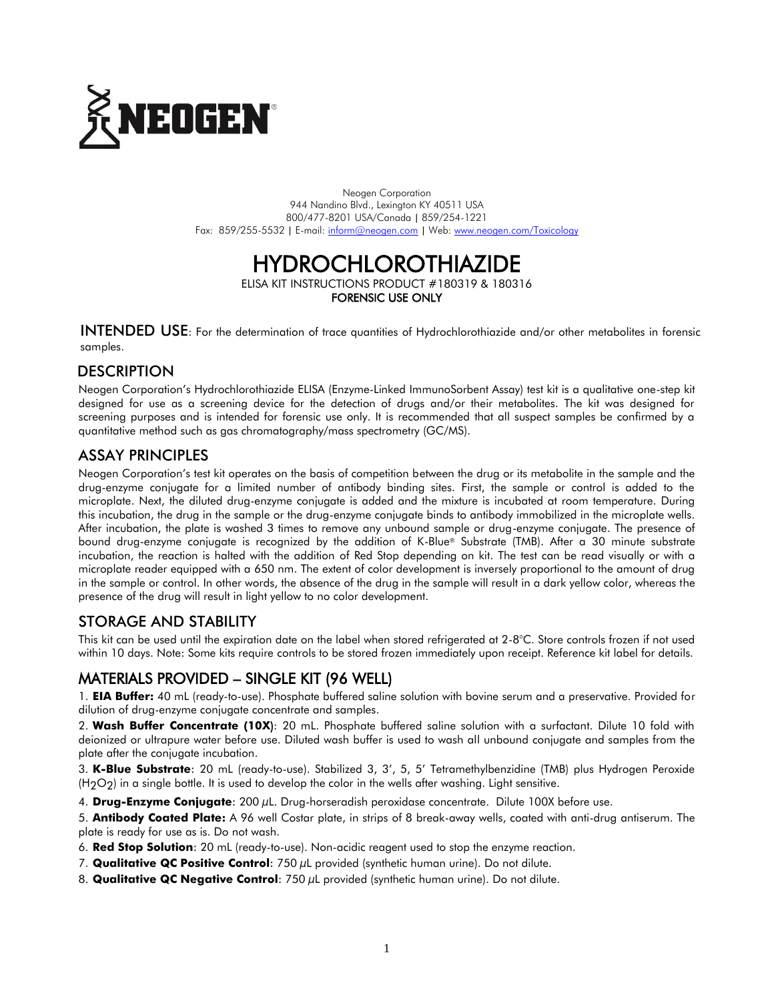

Neogen Corporation 944 Nandino Blvd., Lexington KY 40511 USA 800/477-8201 USA/Canada | 859/254-1221 Fax: 859/255-5532 | E-mail[: inform@neogen.com](mailto:inform@neogen.com) | Web[: www.neogen.com/Toxicology](http://www.neogen.com/Toxicology)

# HYDROCHLOROTHIAZIDE

ELISA KIT INSTRUCTIONS PRODUCT #180319 & 180316 FORENSIC USE ONLY

INTENDED USE: For the determination of trace quantities of Hydrochlorothiazide and/or other metabolites in forensic samples.

# **DESCRIPTION**

Neogen Corporation's Hydrochlorothiazide ELISA (Enzyme-Linked ImmunoSorbent Assay) test kit is a qualitative one-step kit designed for use as a screening device for the detection of drugs and/or their metabolites. The kit was designed for screening purposes and is intended for forensic use only. It is recommended that all suspect samples be confirmed by a quantitative method such as gas chromatography/mass spectrometry (GC/MS).

# ASSAY PRINCIPLES

Neogen Corporation's test kit operates on the basis of competition between the drug or its metabolite in the sample and the drug-enzyme conjugate for a limited number of antibody binding sites. First, the sample or control is added to the microplate. Next, the diluted drug-enzyme conjugate is added and the mixture is incubated at room temperature. During this incubation, the drug in the sample or the drug-enzyme conjugate binds to antibody immobilized in the microplate wells. After incubation, the plate is washed 3 times to remove any unbound sample or drug-enzyme conjugate. The presence of bound drug-enzyme conjugate is recognized by the addition of K-Blue® Substrate (TMB). After a 30 minute substrate incubation, the reaction is halted with the addition of Red Stop depending on kit. The test can be read visually or with a microplate reader equipped with a 650 nm. The extent of color development is inversely proportional to the amount of drug in the sample or control. In other words, the absence of the drug in the sample will result in a dark yellow color, whereas the presence of the drug will result in light yellow to no color development.

# STORAGE AND STABILITY

This kit can be used until the expiration date on the label when stored refrigerated at 2-8°C. Store controls frozen if not used within 10 days. Note: Some kits require controls to be stored frozen immediately upon receipt. Reference kit label for details.

# MATERIALS PROVIDED – SINGLE KIT (96 WELL)

1. **EIA Buffer:** 40 mL (ready-to-use). Phosphate buffered saline solution with bovine serum and a preservative. Provided for dilution of drug-enzyme conjugate concentrate and samples.

2. **Wash Buffer Concentrate (10X**): 20 mL. Phosphate buffered saline solution with a surfactant. Dilute 10 fold with deionized or ultrapure water before use. Diluted wash buffer is used to wash all unbound conjugate and samples from the plate after the conjugate incubation.

3. **K-Blue Substrate**: 20 mL (ready-to-use). Stabilized 3, 3', 5, 5' Tetramethylbenzidine (TMB) plus Hydrogen Peroxide  $(H<sub>2</sub>O<sub>2</sub>)$  in a single bottle. It is used to develop the color in the wells after washing. Light sensitive.

4. **Drug-Enzyme Conjugate**: 200 µL. Drug-horseradish peroxidase concentrate. Dilute 100X before use.

5. **Antibody Coated Plate:** A 96 well Costar plate, in strips of 8 break-away wells, coated with anti-drug antiserum. The plate is ready for use as is. Do not wash.

6. **Red Stop Solution**: 20 mL (ready-to-use). Non-acidic reagent used to stop the enzyme reaction.

- 7. **Qualitative QC Positive Control**: 750 µL provided (synthetic human urine). Do not dilute.
- 8. **Qualitative QC Negative Control**: 750 µL provided (synthetic human urine). Do not dilute.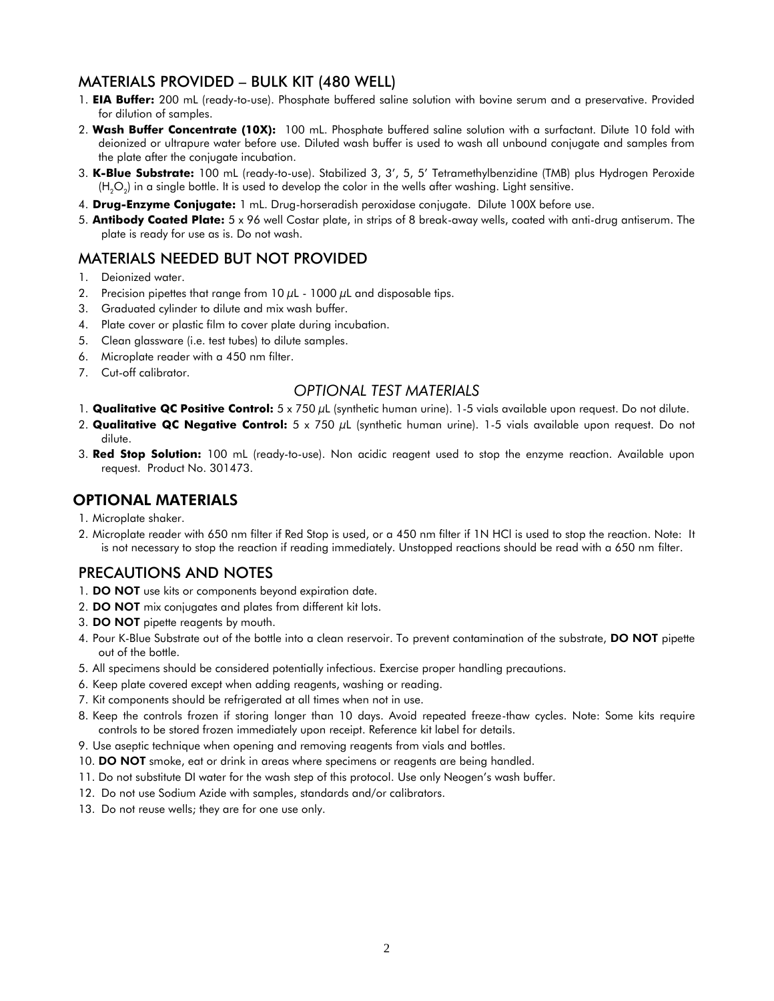# MATERIALS PROVIDED – BULK KIT (480 WELL)

- 1. **EIA Buffer:** 200 mL (ready-to-use). Phosphate buffered saline solution with bovine serum and a preservative. Provided for dilution of samples.
- 2. **Wash Buffer Concentrate (10X):** 100 mL. Phosphate buffered saline solution with a surfactant. Dilute 10 fold with deionized or ultrapure water before use. Diluted wash buffer is used to wash all unbound conjugate and samples from the plate after the conjugate incubation.
- 3. **K-Blue Substrate:** 100 mL (ready-to-use). Stabilized 3, 3', 5, 5' Tetramethylbenzidine (TMB) plus Hydrogen Peroxide (H<sub>2</sub>O<sub>2</sub>) in a single bottle. It is used to develop the color in the wells after washing. Light sensitive.
- 4. **Drug-Enzyme Conjugate:** 1 mL. Drug-horseradish peroxidase conjugate. Dilute 100X before use.
- 5. **Antibody Coated Plate:** 5 x 96 well Costar plate, in strips of 8 break-away wells, coated with anti-drug antiserum. The plate is ready for use as is. Do not wash.

# MATERIALS NEEDED BUT NOT PROVIDED

- 1. Deionized water.
- 2. Precision pipettes that range from  $10 \mu$ L  $1000 \mu$ L and disposable tips.
- 3. Graduated cylinder to dilute and mix wash buffer.
- 4. Plate cover or plastic film to cover plate during incubation.
- 5. Clean glassware (i.e. test tubes) to dilute samples.
- 6. Microplate reader with a 450 nm filter.
- 7. Cut-off calibrator.

#### *OPTIONAL TEST MATERIALS*

- 1. **Qualitative QC Positive Control:** 5 x 750 µL (synthetic human urine). 1-5 vials available upon request. Do not dilute.
- 2. **Qualitative QC Negative Control:** 5 x 750 µL (synthetic human urine). 1-5 vials available upon request. Do not dilute.
- 3. **Red Stop Solution:** 100 mL (ready-to-use). Non acidic reagent used to stop the enzyme reaction. Available upon request. Product No. 301473.

#### OPTIONAL MATERIALS

- 1. Microplate shaker.
- 2. Microplate reader with 650 nm filter if Red Stop is used, or a 450 nm filter if 1N HCl is used to stop the reaction. Note: It is not necessary to stop the reaction if reading immediately. Unstopped reactions should be read with a 650 nm filter.

# PRECAUTIONS AND NOTES

- 1. **DO NOT** use kits or components beyond expiration date.
- 2. DO NOT mix conjugates and plates from different kit lots.
- 3. DO NOT pipette reagents by mouth.
- 4. Pour K-Blue Substrate out of the bottle into a clean reservoir. To prevent contamination of the substrate, DO NOT pipette out of the bottle.
- 5. All specimens should be considered potentially infectious. Exercise proper handling precautions.
- 6. Keep plate covered except when adding reagents, washing or reading.
- 7. Kit components should be refrigerated at all times when not in use.
- 8. Keep the controls frozen if storing longer than 10 days. Avoid repeated freeze-thaw cycles. Note: Some kits require controls to be stored frozen immediately upon receipt. Reference kit label for details.
- 9. Use aseptic technique when opening and removing reagents from vials and bottles.
- 10. DO NOT smoke, eat or drink in areas where specimens or reagents are being handled.
- 11. Do not substitute DI water for the wash step of this protocol. Use only Neogen's wash buffer.
- 12. Do not use Sodium Azide with samples, standards and/or calibrators.
- 13. Do not reuse wells; they are for one use only.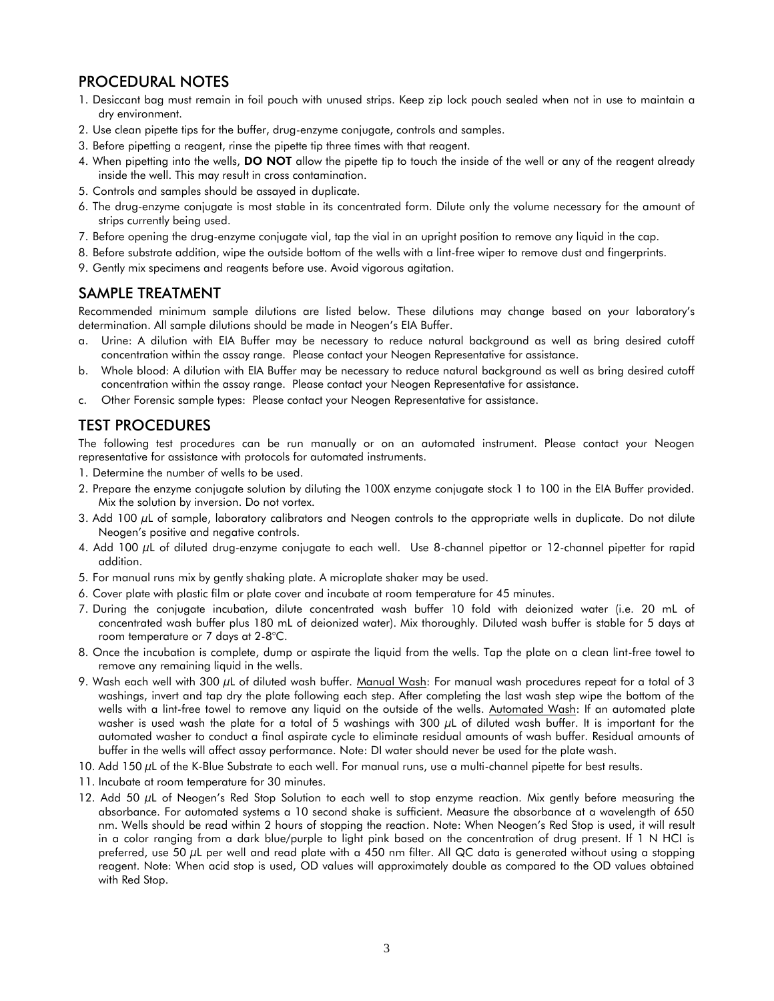# PROCEDURAL NOTES

- 1. Desiccant bag must remain in foil pouch with unused strips. Keep zip lock pouch sealed when not in use to maintain a dry environment.
- 2. Use clean pipette tips for the buffer, drug-enzyme conjugate, controls and samples.
- 3. Before pipetting a reagent, rinse the pipette tip three times with that reagent.
- 4. When pipetting into the wells, DO NOT allow the pipette tip to touch the inside of the well or any of the reagent already inside the well. This may result in cross contamination.
- 5. Controls and samples should be assayed in duplicate.
- 6. The drug-enzyme conjugate is most stable in its concentrated form. Dilute only the volume necessary for the amount of strips currently being used.
- 7. Before opening the drug-enzyme conjugate vial, tap the vial in an upright position to remove any liquid in the cap.
- 8. Before substrate addition, wipe the outside bottom of the wells with a lint-free wiper to remove dust and fingerprints.
- 9. Gently mix specimens and reagents before use. Avoid vigorous agitation.

#### SAMPLE TREATMENT

Recommended minimum sample dilutions are listed below. These dilutions may change based on your laboratory's determination. All sample dilutions should be made in Neogen's EIA Buffer.

- a. Urine: A dilution with EIA Buffer may be necessary to reduce natural background as well as bring desired cutoff concentration within the assay range. Please contact your Neogen Representative for assistance.
- b. Whole blood: A dilution with EIA Buffer may be necessary to reduce natural background as well as bring desired cutoff concentration within the assay range. Please contact your Neogen Representative for assistance.
- c. Other Forensic sample types: Please contact your Neogen Representative for assistance.

# TEST PROCEDURES

The following test procedures can be run manually or on an automated instrument. Please contact your Neogen representative for assistance with protocols for automated instruments.

- 1. Determine the number of wells to be used.
- 2. Prepare the enzyme conjugate solution by diluting the 100X enzyme conjugate stock 1 to 100 in the EIA Buffer provided. Mix the solution by inversion. Do not vortex.
- 3. Add 100 µL of sample, laboratory calibrators and Neogen controls to the appropriate wells in duplicate. Do not dilute Neogen's positive and negative controls.
- 4. Add 100 µL of diluted drug-enzyme conjugate to each well. Use 8-channel pipettor or 12-channel pipetter for rapid addition.
- 5. For manual runs mix by gently shaking plate. A microplate shaker may be used.
- 6. Cover plate with plastic film or plate cover and incubate at room temperature for 45 minutes.
- 7. During the conjugate incubation, dilute concentrated wash buffer 10 fold with deionized water (i.e. 20 mL of concentrated wash buffer plus 180 mL of deionized water). Mix thoroughly. Diluted wash buffer is stable for 5 days at room temperature or 7 days at 2-8°C.
- 8. Once the incubation is complete, dump or aspirate the liquid from the wells. Tap the plate on a clean lint-free towel to remove any remaining liquid in the wells.
- 9. Wash each well with 300  $\mu$ L of diluted wash buffer. Manual Wash: For manual wash procedures repeat for a total of 3 washings, invert and tap dry the plate following each step. After completing the last wash step wipe the bottom of the wells with a lint-free towel to remove any liquid on the outside of the wells. Automated Wash: If an automated plate washer is used wash the plate for a total of 5 washings with 300 µL of diluted wash buffer. It is important for the automated washer to conduct a final aspirate cycle to eliminate residual amounts of wash buffer. Residual amounts of buffer in the wells will affect assay performance. Note: DI water should never be used for the plate wash.
- 10. Add 150 µL of the K-Blue Substrate to each well. For manual runs, use a multi-channel pipette for best results.
- 11. Incubate at room temperature for 30 minutes.
- 12. Add 50  $\mu$ L of Neogen's Red Stop Solution to each well to stop enzyme reaction. Mix gently before measuring the absorbance. For automated systems a 10 second shake is sufficient. Measure the absorbance at a wavelength of 650 nm. Wells should be read within 2 hours of stopping the reaction. Note: When Neogen's Red Stop is used, it will result in a color ranging from a dark blue/purple to light pink based on the concentration of drug present. If 1 N HCI is preferred, use 50  $\mu$ L per well and read plate with a 450 nm filter. All QC data is generated without using a stopping reagent. Note: When acid stop is used, OD values will approximately double as compared to the OD values obtained with Red Stop.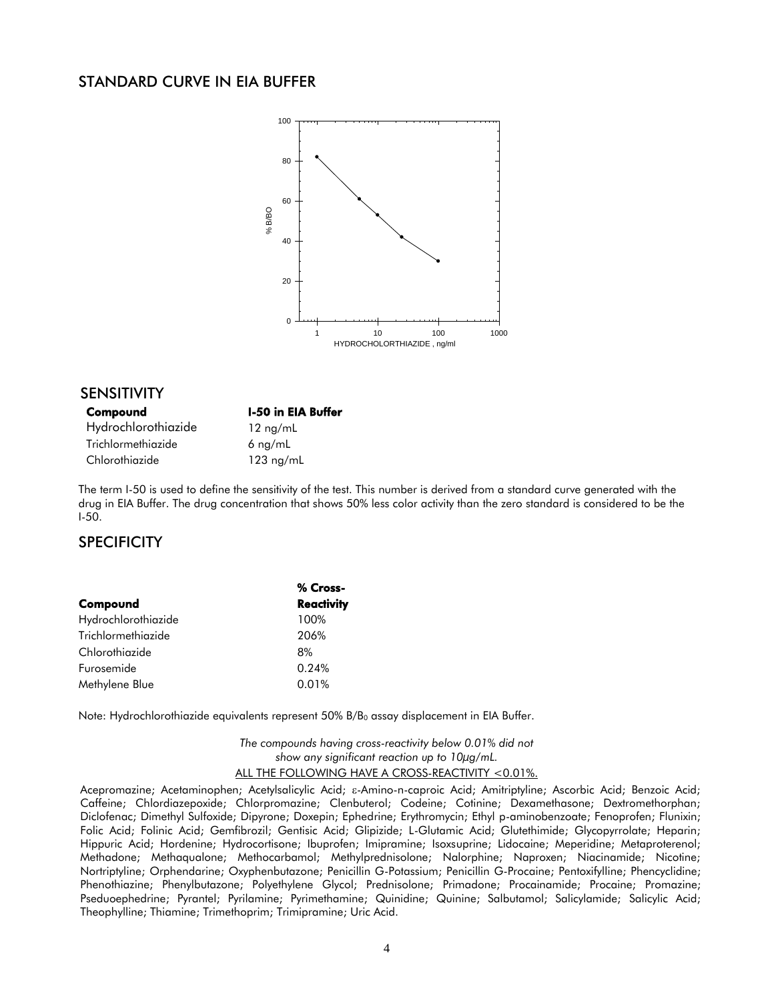#### STANDARD CURVE IN EIA BUFFER



#### SENSITIVITY

| Compound            |
|---------------------|
| Hydrochlorothiazide |
| Trichlormethiazide  |
| Chlorothiazide      |

12 ng/mL  $6$  ng/mL  $123$  ng/mL

**I-50 in EIA Buffer** 

The term I-50 is used to define the sensitivity of the test. This number is derived from a standard curve generated with the drug in EIA Buffer. The drug concentration that shows 50% less color activity than the zero standard is considered to be the I-50.

# **SPECIFICITY**

|                     | % Cross-          |
|---------------------|-------------------|
| Compound            | <b>Reactivity</b> |
| Hydrochlorothiazide | 100%              |
| Trichlormethiazide  | 206%              |
| Chlorothiazide      | 8%                |
| Furosemide          | 0.24%             |
| Methylene Blue      | 0.01%             |

Note: Hydrochlorothiazide equivalents represent 50% B/B<sub>0</sub> assay displacement in EIA Buffer.

*The compounds having cross-reactivity below 0.01% did not show any significant reaction up to 10µg/mL.* ALL THE FOLLOWING HAVE A CROSS-REACTIVITY <0.01%.

Acepromazine; Acetaminophen; Acetylsalicylic Acid;  $\varepsilon$ -Amino-n-caproic Acid; Amitriptyline; Ascorbic Acid; Benzoic Acid; Caffeine; Chlordiazepoxide; Chlorpromazine; Clenbuterol; Codeine; Cotinine; Dexamethasone; Dextromethorphan; Diclofenac; Dimethyl Sulfoxide; Dipyrone; Doxepin; Ephedrine; Erythromycin; Ethyl p-aminobenzoate; Fenoprofen; Flunixin; Folic Acid; Folinic Acid; Gemfibrozil; Gentisic Acid; Glipizide; L-Glutamic Acid; Glutethimide; Glycopyrrolate; Heparin; Hippuric Acid; Hordenine; Hydrocortisone; Ibuprofen; Imipramine; Isoxsuprine; Lidocaine; Meperidine; Metaproterenol; Methadone; Methaqualone; Methocarbamol; Methylprednisolone; Nalorphine; Naproxen; Niacinamide; Nicotine; Nortriptyline; Orphendarine; Oxyphenbutazone; Penicillin G-Potassium; Penicillin G-Procaine; Pentoxifylline; Phencyclidine; Phenothiazine; Phenylbutazone; Polyethylene Glycol; Prednisolone; Primadone; Procainamide; Procaine; Promazine; Pseduoephedrine; Pyrantel; Pyrilamine; Pyrimethamine; Quinidine; Quinine; Salbutamol; Salicylamide; Salicylic Acid; Theophylline; Thiamine; Trimethoprim; Trimipramine; Uric Acid.